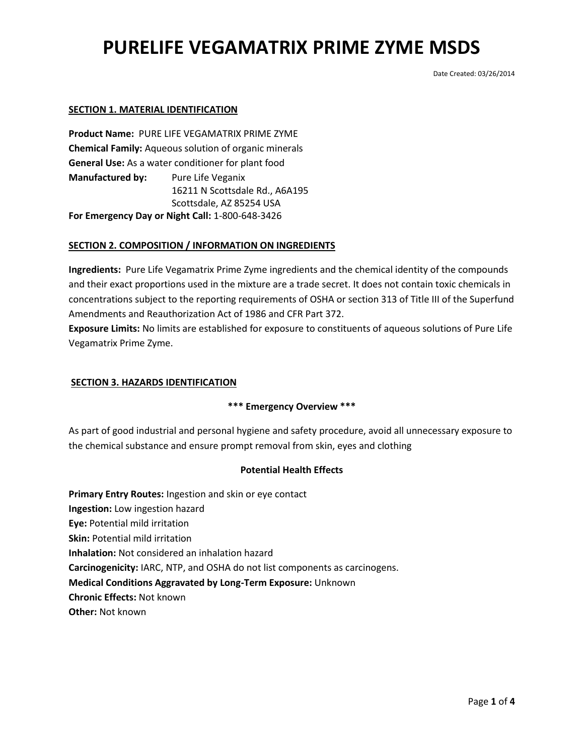Date Created: 03/26/2014

### **SECTION 1. MATERIAL IDENTIFICATION**

**Product Name:** PURE LIFE VEGAMATRIX PRIME ZYME **Chemical Family:** Aqueous solution of organic minerals **General Use:** As a water conditioner for plant food **Manufactured by:** Pure Life Veganix 16211 N Scottsdale Rd., A6A195 Scottsdale, AZ 85254 USA **For Emergency Day or Night Call:** 1-800-648-3426

### **SECTION 2. COMPOSITION / INFORMATION ON INGREDIENTS**

**Ingredients:** Pure Life Vegamatrix Prime Zyme ingredients and the chemical identity of the compounds and their exact proportions used in the mixture are a trade secret. It does not contain toxic chemicals in concentrations subject to the reporting requirements of OSHA or section 313 of Title III of the Superfund Amendments and Reauthorization Act of 1986 and CFR Part 372.

**Exposure Limits:** No limits are established for exposure to constituents of aqueous solutions of Pure Life Vegamatrix Prime Zyme.

## **SECTION 3. HAZARDS IDENTIFICATION**

### **\*\*\* Emergency Overview \*\*\***

As part of good industrial and personal hygiene and safety procedure, avoid all unnecessary exposure to the chemical substance and ensure prompt removal from skin, eyes and clothing

#### **Potential Health Effects**

**Primary Entry Routes:** Ingestion and skin or eye contact **Ingestion:** Low ingestion hazard **Eye:** Potential mild irritation **Skin:** Potential mild irritation **Inhalation:** Not considered an inhalation hazard **Carcinogenicity:** IARC, NTP, and OSHA do not list components as carcinogens. **Medical Conditions Aggravated by Long-Term Exposure:** Unknown **Chronic Effects:** Not known

**Other:** Not known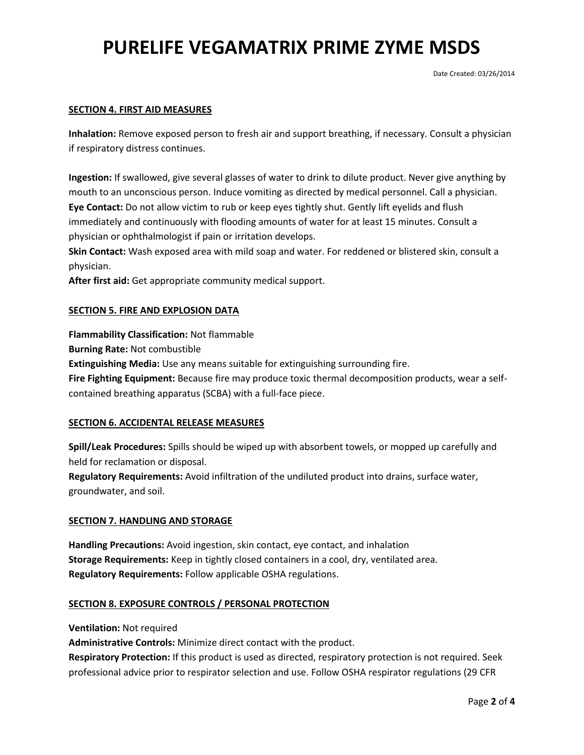### **SECTION 4. FIRST AID MEASURES**

**Inhalation:** Remove exposed person to fresh air and support breathing, if necessary. Consult a physician if respiratory distress continues.

**Ingestion:** If swallowed, give several glasses of water to drink to dilute product. Never give anything by mouth to an unconscious person. Induce vomiting as directed by medical personnel. Call a physician. **Eye Contact:** Do not allow victim to rub or keep eyes tightly shut. Gently lift eyelids and flush immediately and continuously with flooding amounts of water for at least 15 minutes. Consult a physician or ophthalmologist if pain or irritation develops.

**Skin Contact:** Wash exposed area with mild soap and water. For reddened or blistered skin, consult a physician.

**After first aid:** Get appropriate community medical support.

### **SECTION 5. FIRE AND EXPLOSION DATA**

**Flammability Classification:** Not flammable

**Burning Rate:** Not combustible

**Extinguishing Media:** Use any means suitable for extinguishing surrounding fire.

**Fire Fighting Equipment:** Because fire may produce toxic thermal decomposition products, wear a selfcontained breathing apparatus (SCBA) with a full-face piece.

### **SECTION 6. ACCIDENTAL RELEASE MEASURES**

**Spill/Leak Procedures:** Spills should be wiped up with absorbent towels, or mopped up carefully and held for reclamation or disposal.

**Regulatory Requirements:** Avoid infiltration of the undiluted product into drains, surface water, groundwater, and soil.

### **SECTION 7. HANDLING AND STORAGE**

**Handling Precautions:** Avoid ingestion, skin contact, eye contact, and inhalation **Storage Requirements:** Keep in tightly closed containers in a cool, dry, ventilated area. **Regulatory Requirements:** Follow applicable OSHA regulations.

### **SECTION 8. EXPOSURE CONTROLS / PERSONAL PROTECTION**

**Ventilation:** Not required

**Administrative Controls:** Minimize direct contact with the product.

**Respiratory Protection:** If this product is used as directed, respiratory protection is not required. Seek professional advice prior to respirator selection and use. Follow OSHA respirator regulations (29 CFR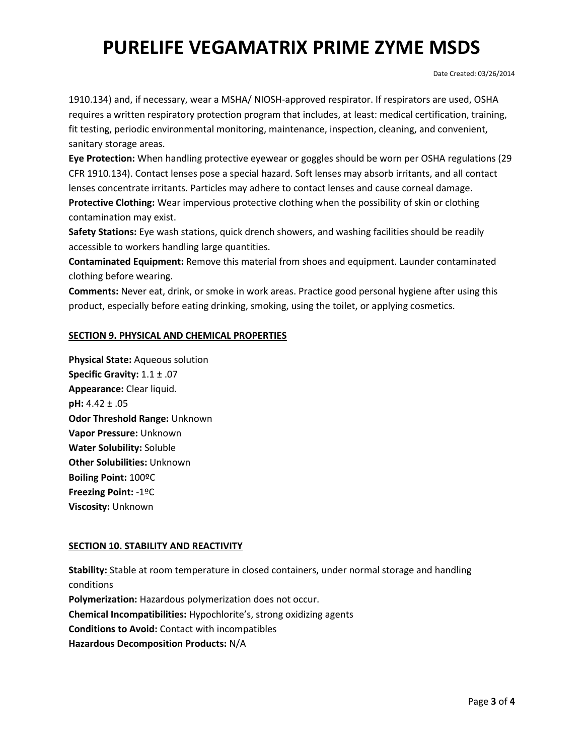Date Created: 03/26/2014

1910.134) and, if necessary, wear a MSHA/ NIOSH-approved respirator. If respirators are used, OSHA requires a written respiratory protection program that includes, at least: medical certification, training, fit testing, periodic environmental monitoring, maintenance, inspection, cleaning, and convenient, sanitary storage areas.

**Eye Protection:** When handling protective eyewear or goggles should be worn per OSHA regulations (29 CFR 1910.134). Contact lenses pose a special hazard. Soft lenses may absorb irritants, and all contact lenses concentrate irritants. Particles may adhere to contact lenses and cause corneal damage. **Protective Clothing:** Wear impervious protective clothing when the possibility of skin or clothing contamination may exist.

**Safety Stations:** Eye wash stations, quick drench showers, and washing facilities should be readily accessible to workers handling large quantities.

**Contaminated Equipment:** Remove this material from shoes and equipment. Launder contaminated clothing before wearing.

**Comments:** Never eat, drink, or smoke in work areas. Practice good personal hygiene after using this product, especially before eating drinking, smoking, using the toilet, or applying cosmetics.

## **SECTION 9. PHYSICAL AND CHEMICAL PROPERTIES**

**Physical State:** Aqueous solution **Specific Gravity:** 1.1 ± .07 **Appearance:** Clear liquid. **pH:** 4.42 ± .05 **Odor Threshold Range:** Unknown **Vapor Pressure:** Unknown **Water Solubility:** Soluble **Other Solubilities:** Unknown **Boiling Point:** 100ºC **Freezing Point:** -1ºC **Viscosity:** Unknown

## **SECTION 10. STABILITY AND REACTIVITY**

**Stability:** Stable at room temperature in closed containers, under normal storage and handling conditions **Polymerization:** Hazardous polymerization does not occur. **Chemical Incompatibilities:** Hypochlorite's, strong oxidizing agents **Conditions to Avoid:** Contact with incompatibles **Hazardous Decomposition Products:** N/A